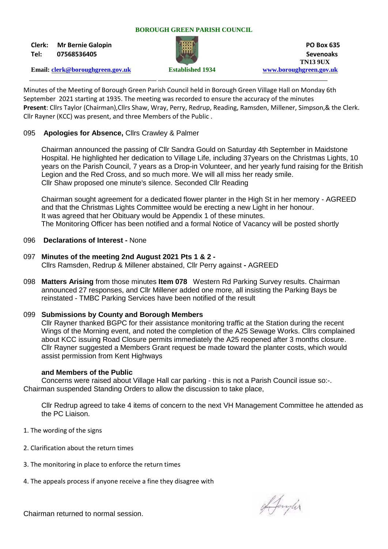### **BOROUGH GREEN PARISH COUNCIL**

**Clerk: Mr Bernie Galopin PO Box 635**



**Tel: 07568536405 Sevenoaks TN13 9UX Email: [clerk@boroughgreen.gov.uk](mailto:clerk@boroughgreen.gov.uk) Established 1934 [www.boroughgreen.gov.uk](http://www.boroughgreen.gov.uk/)**

Minutes of the Meeting of Borough Green Parish Council held in Borough Green Village Hall on Monday 6th September 2021 starting at 1935. The meeting was recorded to ensure the accuracy of the minutes **Present**: Cllrs Taylor (Chairman),Cllrs Shaw, Wray, Perry, Redrup, Reading, Ramsden, Millener, Simpson,& the Clerk. Cllr Rayner (KCC) was present, and three Members of the Public .

### 095 **Apologies for Absence,** Cllrs Crawley & Palmer

 Chairman announced the passing of Cllr Sandra Gould on Saturday 4th September in Maidstone Hospital. He highlighted her dedication to Village Life, including 37years on the Christmas Lights, 10 years on the Parish Council, 7 years as a Drop-in Volunteer, and her yearly fund raising for the British Legion and the Red Cross, and so much more. We will all miss her ready smile. Cllr Shaw proposed one minute's silence. Seconded Cllr Reading

 Chairman sought agreement for a dedicated flower planter in the High St in her memory - AGREED and that the Christmas Lights Committee would be erecting a new Light in her honour. It was agreed that her Obituary would be Appendix 1 of these minutes. The Monitoring Officer has been notified and a formal Notice of Vacancy will be posted shortly

### 096 **Declarations of Interest -** None

- 097 **Minutes of the meeting 2nd August 2021 Pts 1 & 2 -** Cllrs Ramsden, Redrup & Millener abstained, Cllr Perry against **-** AGREED
- 098 **Matters Arising** from those minutes **Item 078** Western Rd Parking Survey results. Chairman announced 27 responses, and Cllr Millener added one more, all insisting the Parking Bays be reinstated - TMBC Parking Services have been notified of the result

### 099 **Submissions by County and Borough Members**

Cllr Rayner thanked BGPC for their assistance monitoring traffic at the Station during the recent Wings of the Morning event, and noted the completion of the A25 Sewage Works. Cllrs complained about KCC issuing Road Closure permits immediately the A25 reopened after 3 months closure. Cllr Rayner suggested a Members Grant request be made toward the planter costs, which would assist permission from Kent Highways

### **and Members of the Public**

Concerns were raised about Village Hall car parking - this is not a Parish Council issue so:-. Chairman suspended Standing Orders to allow the discussion to take place,

 Cllr Redrup agreed to take 4 items of concern to the next VH Management Committee he attended as the PC Liaison.

- 1. The wording of the signs
- 2. Clarification about the return times
- 3. The monitoring in place to enforce the return times
- 4. The appeals process if anyone receive a fine they disagree with

Afangler

Chairman returned to normal session.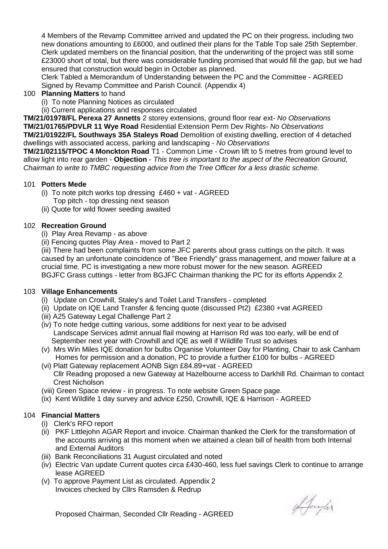4 Members of the Revamp Committee arrived and updated the PC on their progress, including two new donations amounting to £6000, and outlined their plans for the Table Top sale 25th September. Clerk updated members on the financial position, that the underwriting of the project was still some £23000 short of total, but there was considerable funding promised that would fill the gap, but we had ensured that construction would begin in October as planned.

 Clerk Tabled a Memorandum of Understanding between the PC and the Committee - AGREED Signed by Revamp Committee and Parish Council. (Appendix 4)

## 100 **Planning Matters** to hand

(i) To note Planning Notices as circulated

(ii) Current applications and responses circulated

**TM/21/01978/FL Perexa 27 Annetts** 2 storey extensions, ground floor rear ext- *No Observations* **TM/21/01765/PDVLR 11 Wye Road** Residential Extension Perm Dev Rights- *No Observations* **TM/21/01922/FL Southways 35A Staleys Road** Demolition of existing dwelling, erection of 4 detached dwellings with associated access, parking and landscaping - *No Observations*

**TM/21/02115/TPOC 4 Monckton Road** T1 - Common Lime - Crown lift to 5 metres from ground level to allow light into rear garden - **Objection** - *This tree is important to the aspect of the Recreation Ground, Chairman to write to TMBC requesting advice from the Tree Officer for a less drastic scheme.*

## 101 **Potters Mede**

- (i) To note pitch works top dressing  $£460 + vat AGREED$ 
	- Top pitch top dressing next season
- (ii) Quote for wild flower seeding awaited

# 102 **Recreation Ground**

- (i) Play Area Revamp as above
- (ii) Fencing quotes Play Area moved to Part 2

 (iii) There had been complaints from some JFC parents about grass cuttings on the pitch. It was caused by an unfortunate coincidence of "Bee Friendly" grass management, and mower failure at a crucial time. PC is investigating a new more robust mower for the new season. AGREED BGJFC Grass cuttings - letter from BGJFC Chairman thanking the PC for its efforts Appendix 2

### 103 **Village Enhancements**

- (i) Update on Crowhill, Staley's and Toilet Land Transfers completed
- (ii) Update on IQE Land Transfer & fencing quote (discussed Pt2) £2380 +vat AGREED
- (iii) A25 Gateway Legal Challenge Part 2
- (iv) To note hedge cutting various, some additions for next year to be advised Landscape Services admit annual flail mowing at Harrison Rd was too early, will be end of September next year with Crowhill and IQE as well if Wildlife Trust so advises
- (v) Mrs Win Miles IQE donation for bulbs Organise Volunteer Day for Planting, Chair to ask Canham Homes for permission and a donation, PC to provide a further £100 for bulbs - AGREED
- (vi) Platt Gateway replacement AONB Sign £84.89+vat AGREED Cllr Reading proposed a new Gateway at Hazelbourne access to Darkhill Rd. Chairman to contact Crest Nicholson
- (viii) Green Space review in progress. To note website Green Space page.
- (ix) Kent Wildlife 1 day survey and advice £250, Crowhill, IQE & Harrison AGREED

# 104 **Financial Matters**

- (i) Clerk's RFO report
- (ii) PKF Littlejohn AGAR Report and invoice. Chairman thanked the Clerk for the transformation of the accounts arriving at this moment when we attained a clean bill of health from both Internal and External Auditors
- (iii) Bank Reconciliations 31 August circulated and noted
- (iv) Electric Van update Current quotes circa £430-460, less fuel savings Clerk to continue to arrange lease AGREED
- (v) To approve Payment List as circulated. Appendix 2 Invoices checked by Cllrs Ramsden & Redrup

Afangler

Proposed Chairman, Seconded Cllr Reading - AGREED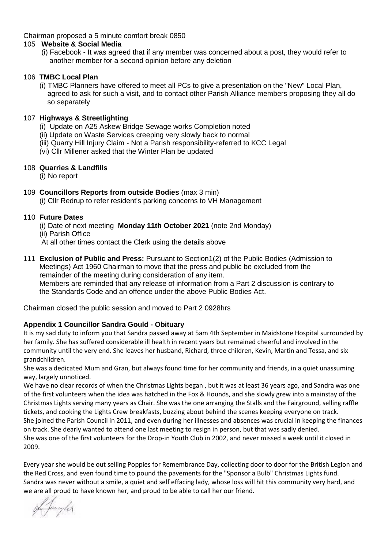Chairman proposed a 5 minute comfort break 0850

## 105 **Website & Social Media**

 (i) Facebook - It was agreed that if any member was concerned about a post, they would refer to another member for a second opinion before any deletion

## 106 **TMBC Local Plan**

 (i) TMBC Planners have offered to meet all PCs to give a presentation on the "New" Local Plan, agreed to ask for such a visit, and to contact other Parish Alliance members proposing they all do so separately

## 107 **Highways & Streetlighting**

- (i) Update on A25 Askew Bridge Sewage works Completion noted
- (ii) Update on Waste Services creeping very slowly back to normal
- (iii) Quarry Hill Injury Claim Not a Parish responsibility-referred to KCC Legal
- (vi) Cllr Millener asked that the Winter Plan be updated

## 108 **Quarries & Landfills**

(i) No report

109 **Councillors Reports from outside Bodies** (max 3 min)

(i) Cllr Redrup to refer resident's parking concerns to VH Management

## 110 **Future Dates**

- (i) Date of next meeting **Monday 11th October 2021** (note 2nd Monday)
- (ii) Parish Office

At all other times contact the Clerk using the details above

111 **Exclusion of Public and Press:** Pursuant to Section1(2) of the Public Bodies (Admission to Meetings) Act 1960 Chairman to move that the press and public be excluded from the remainder of the meeting during consideration of any item. Members are reminded that any release of information from a Part 2 discussion is contrary to the Standards Code and an offence under the above Public Bodies Act.

Chairman closed the public session and moved to Part 2 0928hrs

# **Appendix 1 Councillor Sandra Gould - Obituary**

It is my sad duty to inform you that Sandra passed away at 5am 4th September in Maidstone Hospital surrounded by her family. She has suffered considerable ill health in recent years but remained cheerful and involved in the community until the very end. She leaves her husband, Richard, three children, Kevin, Martin and Tessa, and six grandchildren.

She was a dedicated Mum and Gran, but always found time for her community and friends, in a quiet unassuming way, largely unnoticed.

We have no clear records of when the Christmas Lights began , but it was at least 36 years ago, and Sandra was one of the first volunteers when the idea was hatched in the Fox & Hounds, and she slowly grew into a mainstay of the Christmas Lights serving many years as Chair. She was the one arranging the Stalls and the Fairground, selling raffle tickets, and cooking the Lights Crew breakfasts, buzzing about behind the scenes keeping everyone on track. She joined the Parish Council in 2011, and even during her illnesses and absences was crucial in keeping the finances on track. She dearly wanted to attend one last meeting to resign in person, but that was sadly denied. She was one of the first volunteers for the Drop-in Youth Club in 2002, and never missed a week until it closed in 2009.

Every year she would be out selling Poppies for Remembrance Day, collecting door to door for the British Legion and the Red Cross, and even found time to pound the pavements for the "Sponsor a Bulb" Christmas Lights fund. Sandra was never without a smile, a quiet and self effacing lady, whose loss will hit this community very hard, and we are all proud to have known her, and proud to be able to call her our friend.

of Janyler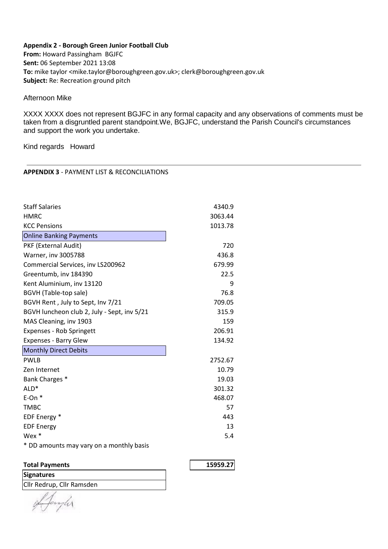#### **Appendix 2 - Borough Green Junior Football Club**

**From:** Howard Passingham BGJFC **Sent:** 06 September 2021 13:08 **To:** mike taylor <mike.taylor@boroughgreen.gov.uk>; clerk@boroughgreen.gov.uk **Subject:** Re: Recreation ground pitch

Afternoon Mike

XXXX XXXX does not represent BGJFC in any formal capacity and any observations of comments must be taken from a disgruntled parent standpoint.We, BGJFC, understand the Parish Council's circumstances and support the work you undertake.

Kind regards Howard

#### **APPENDIX 3** - PAYMENT LIST & RECONCILIATIONS

| <b>Staff Salaries</b>                       | 4340.9  |
|---------------------------------------------|---------|
| <b>HMRC</b>                                 | 3063.44 |
| <b>KCC Pensions</b>                         | 1013.78 |
| <b>Online Banking Payments</b>              |         |
| PKF (External Audit)                        | 720     |
| Warner, inv 3005788                         | 436.8   |
| Commercial Services, inv LS200962           | 679.99  |
| Greentumb, inv 184390                       | 22.5    |
| Kent Aluminium, inv 13120                   | 9       |
| BGVH (Table-top sale)                       | 76.8    |
| BGVH Rent, July to Sept, Inv 7/21           | 709.05  |
| BGVH luncheon club 2, July - Sept, inv 5/21 | 315.9   |
| MAS Cleaning, inv 1903                      | 159     |
| Expenses - Rob Springett                    | 206.91  |
| <b>Expenses - Barry Glew</b>                | 134.92  |
| <b>Monthly Direct Debits</b>                |         |
| <b>PWLB</b>                                 | 2752.67 |
| Zen Internet                                | 10.79   |
| Bank Charges *                              | 19.03   |
| ALD <sup>*</sup>                            | 301.32  |
| $E$ -On $*$                                 | 468.07  |
| <b>TMBC</b>                                 | 57      |
| EDF Energy *                                | 443     |
| <b>EDF Energy</b>                           | 13      |
| Wex $*$                                     | 5.4     |
| * DD amounts may vary on a monthly basis    |         |

| <b>Total Payments</b> | 15959.27 |
|-----------------------|----------|
|                       |          |

**Signatures** Cllr Redrup, Cllr Ramsden

nyler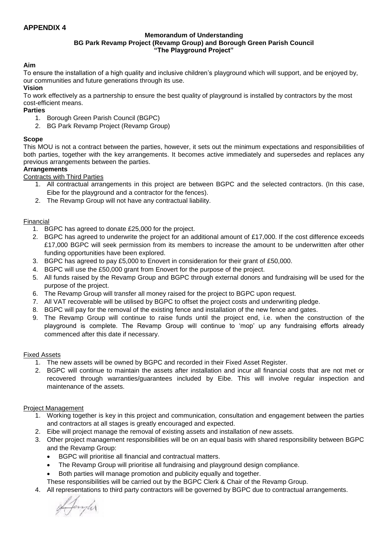#### **Memorandum of Understanding BG Park Revamp Project (Revamp Group) and Borough Green Parish Council "The Playground Project"**

### **Aim**

To ensure the installation of a high quality and inclusive children's playground which will support, and be enjoyed by, our communities and future generations through its use.

### **Vision**

To work effectively as a partnership to ensure the best quality of playground is installed by contractors by the most cost-efficient means.

### **Parties**

- 1. Borough Green Parish Council (BGPC)
- 2. BG Park Revamp Project (Revamp Group)

#### **Scope**

This MOU is not a contract between the parties, however, it sets out the minimum expectations and responsibilities of both parties, together with the key arrangements. It becomes active immediately and supersedes and replaces any previous arrangements between the parties.

#### **Arrangements**

Contracts with Third Parties

- 1. All contractual arrangements in this project are between BGPC and the selected contractors. (In this case, Eibe for the playground and a contractor for the fences).
- 2. The Revamp Group will not have any contractual liability.

#### Financial

- 1. BGPC has agreed to donate £25,000 for the project.
- 2. BGPC has agreed to underwrite the project for an additional amount of £17,000. If the cost difference exceeds £17,000 BGPC will seek permission from its members to increase the amount to be underwritten after other funding opportunities have been explored.
- 3. BGPC has agreed to pay £5,000 to Enovert in consideration for their grant of £50,000.
- 4. BGPC will use the £50,000 grant from Enovert for the purpose of the project.
- 5. All funds raised by the Revamp Group and BGPC through external donors and fundraising will be used for the purpose of the project.
- 6. The Revamp Group will transfer all money raised for the project to BGPC upon request.
- 7. All VAT recoverable will be utilised by BGPC to offset the project costs and underwriting pledge.
- 8. BGPC will pay for the removal of the existing fence and installation of the new fence and gates.
- 9. The Revamp Group will continue to raise funds until the project end, i.e. when the construction of the playground is complete. The Revamp Group will continue to 'mop' up any fundraising efforts already commenced after this date if necessary.

#### Fixed Assets

- 1. The new assets will be owned by BGPC and recorded in their Fixed Asset Register.
- 2. BGPC will continue to maintain the assets after installation and incur all financial costs that are not met or recovered through warranties/guarantees included by Eibe. This will involve regular inspection and maintenance of the assets.

### Project Management

- 1. Working together is key in this project and communication, consultation and engagement between the parties and contractors at all stages is greatly encouraged and expected.
- 2. Eibe will project manage the removal of existing assets and installation of new assets.
- 3. Other project management responsibilities will be on an equal basis with shared responsibility between BGPC and the Revamp Group:
	- BGPC will prioritise all financial and contractual matters.
	- The Revamp Group will prioritise all fundraising and playground design compliance.
	- Both parties will manage promotion and publicity equally and together.
	- These responsibilities will be carried out by the BGPC Clerk & Chair of the Revamp Group.
- 4. All representations to third party contractors will be governed by BGPC due to contractual arrangements.

Afangler